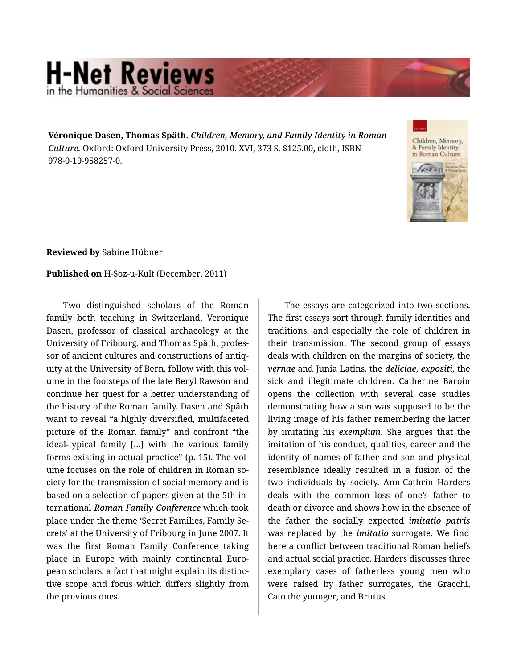## **H-Net Reviews** in the Humanities & Social Scie

**Véronique Dasen, Thomas Späth.** *Children, Memory, and Family Identity in Roman Culture.* Oxford: Oxford University Press, 2010. XVI, 373 S. \$125.00, cloth, ISBN 978-0-19-958257-0.



**Reviewed by** Sabine Hübner

## **Published on** H-Soz-u-Kult (December, 2011)

Two distinguished scholars of the Roman family both teaching in Switzerland, Veronique Dasen, professor of classical archaeology at the University of Fribourg, and Thomas Späth, profes‐ sor of ancient cultures and constructions of antiq‐ uity at the University of Bern, follow with this vol‐ ume in the footsteps of the late Beryl Rawson and continue her quest for a better understanding of the history of the Roman family. Dasen and Späth want to reveal "a highly diversified, multifaceted picture of the Roman family" and confront "the ideal-typical family […] with the various family forms existing in actual practice" (p. 15). The vol‐ ume focuses on the role of children in Roman society for the transmission of social memory and is based on a selection of papers given at the 5th in‐ ternational *Roman Family Conference* which took place under the theme 'Secret Families, Family Se‐ crets' at the University of Fribourg in June 2007. It was the first Roman Family Conference taking place in Europe with mainly continental Euro‐ pean scholars, a fact that might explain its distinc‐ tive scope and focus which differs slightly from the previous ones.

The essays are categorized into two sections. The first essays sort through family identities and traditions, and especially the role of children in their transmission. The second group of essays deals with children on the margins of society, the *vernae* and Junia Latins, the *deliciae*, *expositi*, the sick and illegitimate children. Catherine Baroin opens the collection with several case studies demonstrating how a son was supposed to be the living image of his father remembering the latter by imitating his *exemplum*. She argues that the imitation of his conduct, qualities, career and the identity of names of father and son and physical resemblance ideally resulted in a fusion of the two individuals by society. Ann-Cathrin Harders deals with the common loss of one's father to death or divorce and shows how in the absence of the father the socially expected *imitatio patris* was replaced by the *imitatio* surrogate. We find here a conflict between traditional Roman beliefs and actual social practice. Harders discusses three exemplary cases of fatherless young men who were raised by father surrogates, the Gracchi, Cato the younger, and Brutus.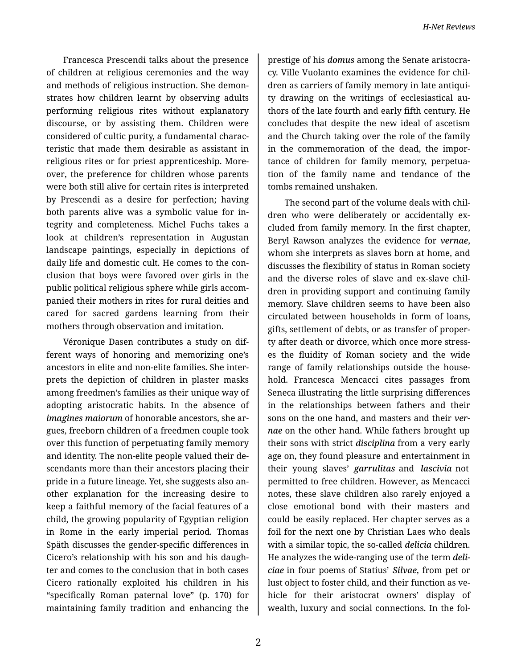Francesca Prescendi talks about the presence of children at religious ceremonies and the way and methods of religious instruction. She demon‐ strates how children learnt by observing adults performing religious rites without explanatory discourse, or by assisting them. Children were considered of cultic purity, a fundamental charac‐ teristic that made them desirable as assistant in religious rites or for priest apprenticeship. More‐ over, the preference for children whose parents were both still alive for certain rites is interpreted by Prescendi as a desire for perfection; having both parents alive was a symbolic value for in‐ tegrity and completeness. Michel Fuchs takes a look at children's representation in Augustan landscape paintings, especially in depictions of daily life and domestic cult. He comes to the con‐ clusion that boys were favored over girls in the public political religious sphere while girls accom‐ panied their mothers in rites for rural deities and cared for sacred gardens learning from their mothers through observation and imitation.

Véronique Dasen contributes a study on dif‐ ferent ways of honoring and memorizing one's ancestors in elite and non-elite families. She inter‐ prets the depiction of children in plaster masks among freedmen's families as their unique way of adopting aristocratic habits. In the absence of *imagines maiorum* of honorable ancestors, she ar‐ gues, freeborn children of a freedmen couple took over this function of perpetuating family memory and identity. The non-elite people valued their de‐ scendants more than their ancestors placing their pride in a future lineage. Yet, she suggests also an‐ other explanation for the increasing desire to keep a faithful memory of the facial features of a child, the growing popularity of Egyptian religion in Rome in the early imperial period. Thomas Späth discusses the gender-specific differences in Cicero's relationship with his son and his daugh‐ ter and comes to the conclusion that in both cases Cicero rationally exploited his children in his "specifically Roman paternal love" (p. 170) for maintaining family tradition and enhancing the

prestige of his *domus* among the Senate aristocra‐ cy. Ville Vuolanto examines the evidence for chil‐ dren as carriers of family memory in late antiqui‐ ty drawing on the writings of ecclesiastical au‐ thors of the late fourth and early fifth century. He concludes that despite the new ideal of ascetism and the Church taking over the role of the family in the commemoration of the dead, the impor‐ tance of children for family memory, perpetua‐ tion of the family name and tendance of the tombs remained unshaken.

The second part of the volume deals with chil‐ dren who were deliberately or accidentally ex‐ cluded from family memory. In the first chapter, Beryl Rawson analyzes the evidence for *vernae*, whom she interprets as slaves born at home, and discusses the flexibility of status in Roman society and the diverse roles of slave and ex-slave chil‐ dren in providing support and continuing family memory. Slave children seems to have been also circulated between households in form of loans, gifts, settlement of debts, or as transfer of proper‐ ty after death or divorce, which once more stress‐ es the fluidity of Roman society and the wide range of family relationships outside the house‐ hold. Francesca Mencacci cites passages from Seneca illustrating the little surprising differences in the relationships between fathers and their sons on the one hand, and masters and their *ver‐ nae* on the other hand. While fathers brought up their sons with strict *disciplina* from a very early age on, they found pleasure and entertainment in their young slaves' *garrulitas* and *lascivia* not permitted to free children. However, as Mencacci notes, these slave children also rarely enjoyed a close emotional bond with their masters and could be easily replaced. Her chapter serves as a foil for the next one by Christian Laes who deals with a similar topic, the so-called *delicia* children. He analyzes the wide-ranging use of the term *deli‐ ciae* in four poems of Statius' *Silvae*, from pet or lust object to foster child, and their function as ve‐ hicle for their aristocrat owners' display of wealth, luxury and social connections. In the fol‐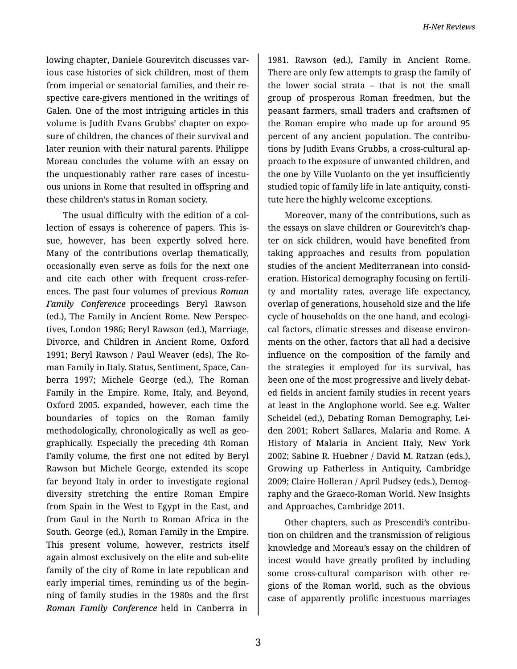lowing chapter, Daniele Gourevitch discusses var‐ ious case histories of sick children, most of them from imperial or senatorial families, and their re‐ spective care-givers mentioned in the writings of Galen. One of the most intriguing articles in this volume is Judith Evans Grubbs' chapter on expo‐ sure of children, the chances of their survival and later reunion with their natural parents. Philippe Moreau concludes the volume with an essay on the unquestionably rather rare cases of incestu‐ ous unions in Rome that resulted in offspring and these children's status in Roman society.

The usual difficulty with the edition of a col‐ lection of essays is coherence of papers. This is‐ sue, however, has been expertly solved here. Many of the contributions overlap thematically, occasionally even serve as foils for the next one and cite each other with frequent cross-refer‐ ences. The past four volumes of previous *Roman Family Conference* proceedings Beryl Rawson (ed.), The Family in Ancient Rome. New Perspec‐ tives, London 1986; Beryl Rawson (ed.), Marriage, Divorce, and Children in Ancient Rome, Oxford 1991; Beryl Rawson / Paul Weaver (eds), The Ro‐ man Family in Italy. Status, Sentiment, Space, Can‐ berra 1997; Michele George (ed.), The Roman Family in the Empire. Rome, Italy, and Beyond, Oxford 2005. expanded, however, each time the boundaries of topics on the Roman family methodologically, chronologically as well as geo‐ graphically. Especially the preceding 4th Roman Family volume, the first one not edited by Beryl Rawson but Michele George, extended its scope far beyond Italy in order to investigate regional diversity stretching the entire Roman Empire from Spain in the West to Egypt in the East, and from Gaul in the North to Roman Africa in the South. George (ed.), Roman Family in the Empire. This present volume, however, restricts itself again almost exclusively on the elite and sub-elite family of the city of Rome in late republican and early imperial times, reminding us of the begin‐ ning of family studies in the 1980s and the first *Roman Family Conference* held in Canberra in

1981. Rawson (ed.), Family in Ancient Rome. There are only few attempts to grasp the family of the lower social strata – that is not the small group of prosperous Roman freedmen, but the peasant farmers, small traders and craftsmen of the Roman empire who made up for around 95 percent of any ancient population. The contributions by Judith Evans Grubbs, a cross-cultural ap‐ proach to the exposure of unwanted children, and the one by Ville Vuolanto on the yet insufficiently studied topic of family life in late antiquity, consti‐ tute here the highly welcome exceptions.

Moreover, many of the contributions, such as the essays on slave children or Gourevitch's chap‐ ter on sick children, would have benefited from taking approaches and results from population studies of the ancient Mediterranean into consid‐ eration. Historical demography focusing on fertili‐ ty and mortality rates, average life expectancy, overlap of generations, household size and the life cycle of households on the one hand, and ecologi‐ cal factors, climatic stresses and disease environ‐ ments on the other, factors that all had a decisive influence on the composition of the family and the strategies it employed for its survival, has been one of the most progressive and lively debat‐ ed fields in ancient family studies in recent years at least in the Anglophone world. See e.g. Walter Scheidel (ed.), Debating Roman Demography, Lei‐ den 2001; Robert Sallares, Malaria and Rome. A History of Malaria in Ancient Italy, New York 2002; Sabine R. Huebner / David M. Ratzan (eds.), Growing up Fatherless in Antiquity, Cambridge 2009; Claire Holleran / April Pudsey (eds.), Demog‐ raphy and the Graeco-Roman World. New Insights and Approaches, Cambridge 2011.

Other chapters, such as Prescendi's contribu‐ tion on children and the transmission of religious knowledge and Moreau's essay on the children of incest would have greatly profited by including some cross-cultural comparison with other regions of the Roman world, such as the obvious case of apparently prolific incestuous marriages